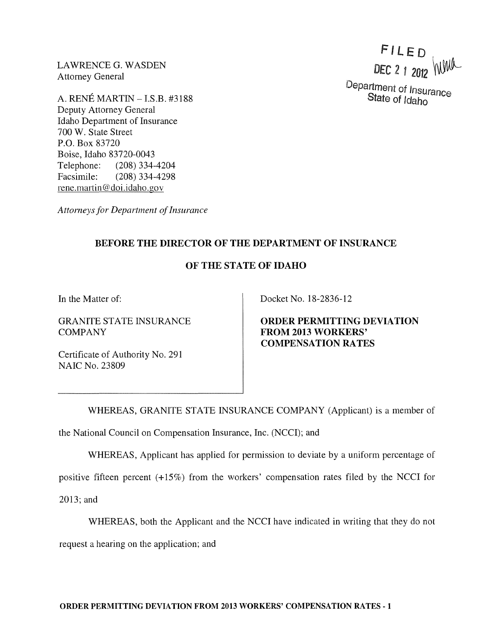LAWRENCE G. WASDEN Attorney General

A. RENE MARTIN - I.S.B. #3188 Deputy Attorney General Idaho Department of Insurance 700 W. State Street P.O. Box 83720 Boise, Idaho 83720-0043 Telephone: (208) 334-4204 Facsimile: (208) 334-4298 rene.martin@doi.idaho.gov

*Attorneys for Department of Insurance* 

## BEFORE THE DIRECTOR OF THE DEPARTMENT OF INSURANCE

## OF THE STATE OF IDAHO

In the Matter of:

GRANITE STATE INSURANCE **COMPANY** 

Certificate of Authority No. 291 NAIC No. 23809

Docket No. 18-2836-12

ORDER PERMITTING DEVIATION FROM 2013 WORKERS' COMPENSATION RATES

WHEREAS, GRANITE STATE INSURANCE COMPANY (Applicant) is a member of the National Council on Compensation Insurance, Inc. (NCCI); and

WHEREAS, Applicant has applied for permission to deviate by a uniform percentage of

positive fifteen percent (+15%) from the workers' compensation rates filed by the NCCI for

2013; and

WHEREAS, both the Applicant and the NCCI have indicated in writing that they do not

request a hearing on the application; and

FILED DEC 2 1 2012 WWW

Department of Insurance State of Idaho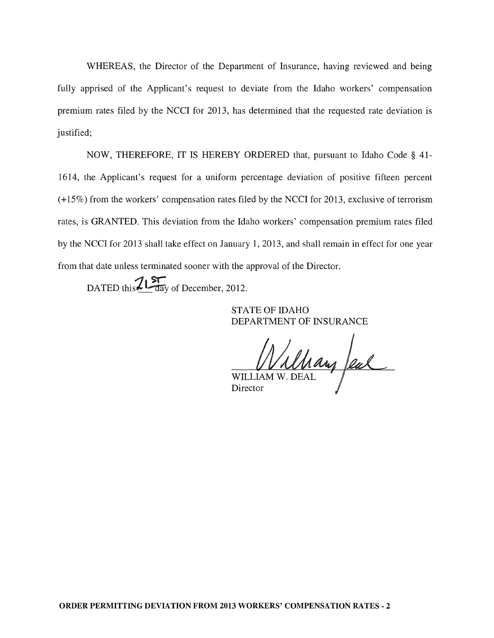WHEREAS, the Director of the Department of Insurance, having reviewed and being fully apprised of the Applicant's request to deviate from the Idaho workers' compensation premium rates filed by the NCCI for 2013, has determined that the requested rate deviation is justified;

NOW, THEREFORE, IT IS HEREBY ORDERED that, pursuant to Idaho Code § 41- 1614, the Applicant's request for a uniform percentage deviation of positive fifteen percent (+15%) from the workers' compensation rates filed by the NCCI for 2013, exclusive of terrorism rates, is GRANTED. This deviation from the Idaho workers' compensation premium rates filed by the NCCI for 2013 shall take effect on January 1,2013, and shall remain in effect for one year from that date unless terminated sooner with the approval of the Director.

DATED this  $\frac{215}{\text{day}}$  of December, 2012.

STATE OF IDAHO DEPARTMENT OF INSURANCE

William W. DEAL